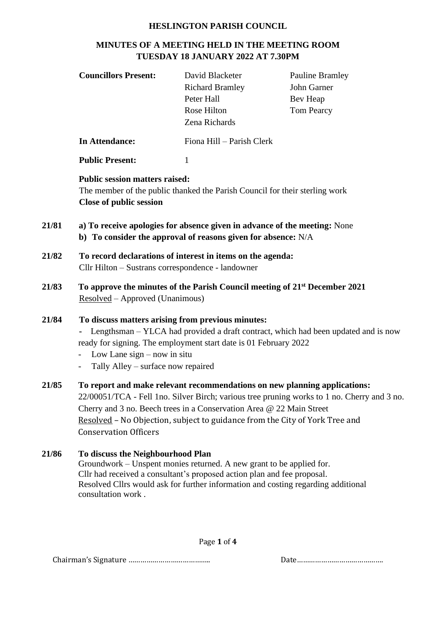#### **HESLINGTON PARISH COUNCIL**

# **MINUTES OF A MEETING HELD IN THE MEETING ROOM TUESDAY 18 JANUARY 2022 AT 7.30PM**

| <b>Councillors Present:</b>                                         | David Blacketer<br><b>Richard Bramley</b><br>Peter Hall<br>Rose Hilton<br>Zena Richards                                                                                                                                   | <b>Pauline Bramley</b><br>John Garner<br>Bev Heap<br><b>Tom Pearcy</b>                                                                                                                                                                                  |
|---------------------------------------------------------------------|---------------------------------------------------------------------------------------------------------------------------------------------------------------------------------------------------------------------------|---------------------------------------------------------------------------------------------------------------------------------------------------------------------------------------------------------------------------------------------------------|
| <b>In Attendance:</b>                                               | Fiona Hill - Parish Clerk                                                                                                                                                                                                 |                                                                                                                                                                                                                                                         |
| <b>Public Present:</b>                                              | $\mathbf{1}$                                                                                                                                                                                                              |                                                                                                                                                                                                                                                         |
| <b>Close of public session</b>                                      | The member of the public thanked the Parish Council for their sterling work<br>a) To receive apologies for absence given in advance of the meeting: None<br>b) To consider the approval of reasons given for absence: N/A |                                                                                                                                                                                                                                                         |
|                                                                     | To record declarations of interest in items on the agenda:<br>Cllr Hilton - Sustrans correspondence - landowner                                                                                                           |                                                                                                                                                                                                                                                         |
| Resolved – Approved (Unanimous)                                     |                                                                                                                                                                                                                           | To approve the minutes of the Parish Council meeting of 21 <sup>st</sup> December 2021                                                                                                                                                                  |
| Low Lane $sign - now$ in situ<br>Tally Alley – surface now repaired | To discuss matters arising from previous minutes:<br>ready for signing. The employment start date is 01 February 2022                                                                                                     | Lengthsman – YLCA had provided a draft contract, which had been updated and is now                                                                                                                                                                      |
|                                                                     | Cherry and 3 no. Beech trees in a Conservation Area @ 22 Main Street                                                                                                                                                      | To report and make relevant recommendations on new planning applications:<br>22/00051/TCA - Fell 1no. Silver Birch; various tree pruning works to 1 no. Cherry and 3 no.<br>Resolved - No Objection, subject to guidance from the City of York Tree and |

Conservation Officers

#### **21/86 To discuss the Neighbourhood Plan** Groundwork – Unspent monies returned. A new grant to be applied for. Cllr had received a consultant's proposed action plan and fee proposal. Resolved Cllrs would ask for further information and costing regarding additional consultation work .

Page **1** of **4**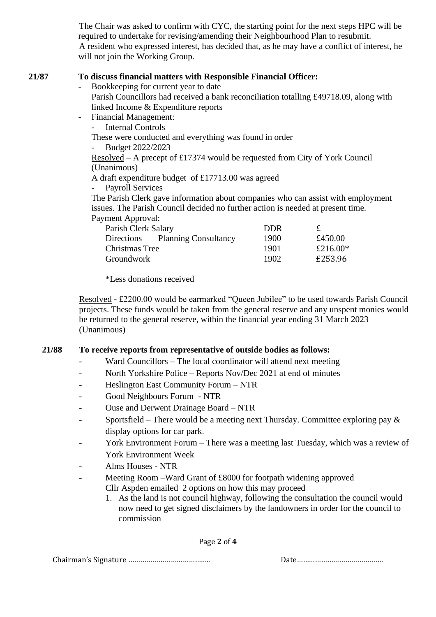The Chair was asked to confirm with CYC, the starting point for the next steps HPC will be required to undertake for revising/amending their Neighbourhood Plan to resubmit. A resident who expressed interest, has decided that, as he may have a conflict of interest, he will not join the Working Group.

### **21/87 To discuss financial matters with Responsible Financial Officer:**

- Bookkeeping for current year to date Parish Councillors had received a bank reconciliation totalling £49718.09, along with linked Income & Expenditure reports
- Financial Management:

Internal Controls

These were conducted and everything was found in order

- Budget 2022/2023

Resolved – A precept of £17374 would be requested from City of York Council (Unanimous)

- A draft expenditure budget of £17713.00 was agreed
- Payroll Services

The Parish Clerk gave information about companies who can assist with employment issues. The Parish Council decided no further action is needed at present time. Payment Approval:

| Parish Clerk Salary             | <b>DDR</b> |             |
|---------------------------------|------------|-------------|
| Directions Planning Consultancy | 1900       | £450.00     |
| Christmas Tree                  | 1901       | £216.00 $*$ |
| Groundwork                      | 1902       | £253.96     |

\*Less donations received

Resolved - £2200.00 would be earmarked "Queen Jubilee" to be used towards Parish Council projects. These funds would be taken from the general reserve and any unspent monies would be returned to the general reserve, within the financial year ending 31 March 2023 (Unanimous)

# **21/88 To receive reports from representative of outside bodies as follows:**

- Ward Councillors The local coordinator will attend next meeting
- North Yorkshire Police Reports Nov/Dec 2021 at end of minutes
- Heslington East Community Forum NTR
- Good Neighbours Forum NTR
- Ouse and Derwent Drainage Board NTR
- Sportsfield There would be a meeting next Thursday. Committee exploring pay  $\&$ display options for car park.
- York Environment Forum There was a meeting last Tuesday, which was a review of York Environment Week
- Alms Houses NTR
- Meeting Room –Ward Grant of £8000 for footpath widening approved Cllr Aspden emailed 2 options on how this may proceed
	- 1. As the land is not council highway, following the consultation the council would now need to get signed disclaimers by the landowners in order for the council to commission

Page **2** of **4**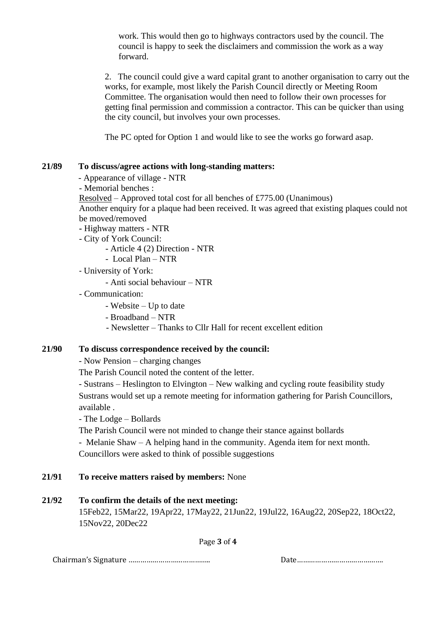work. This would then go to highways contractors used by the council. The council is happy to seek the disclaimers and commission the work as a way forward.

2. The council could give a ward capital grant to another organisation to carry out the works, for example, most likely the Parish Council directly or Meeting Room Committee. The organisation would then need to follow their own processes for getting final permission and commission a contractor. This can be quicker than using the city council, but involves your own processes.

The PC opted for Option 1 and would like to see the works go forward asap.

#### **21/89 To discuss/agree actions with long-standing matters:**

- Appearance of village NTR
- Memorial benches :
- Resolved Approved total cost for all benches of £775.00 (Unanimous)
- Another enquiry for a plaque had been received. It was agreed that existing plaques could not be moved/removed
- **-** Highway matters NTR
- City of York Council:
	- Article 4 (2) Direction NTR
	- Local Plan NTR
- University of York:
	- Anti social behaviour NTR
- Communication:
	- Website Up to date
	- Broadband NTR
	- Newsletter Thanks to Cllr Hall for recent excellent edition

#### **21/90 To discuss correspondence received by the council:**

- Now Pension – charging changes

The Parish Council noted the content of the letter.

- Sustrans – Heslington to Elvington – New walking and cycling route feasibility study Sustrans would set up a remote meeting for information gathering for Parish Councillors, available .

- The Lodge – Bollards

The Parish Council were not minded to change their stance against bollards

- Melanie Shaw – A helping hand in the community. Agenda item for next month.

Councillors were asked to think of possible suggestions

# **21/91 To receive matters raised by members:** None

# **21/92 To confirm the details of the next meeting:**

15Feb22, 15Mar22, 19Apr22, 17May22, 21Jun22, 19Jul22, 16Aug22, 20Sep22, 18Oct22, 15Nov22, 20Dec22

Page **3** of **4**